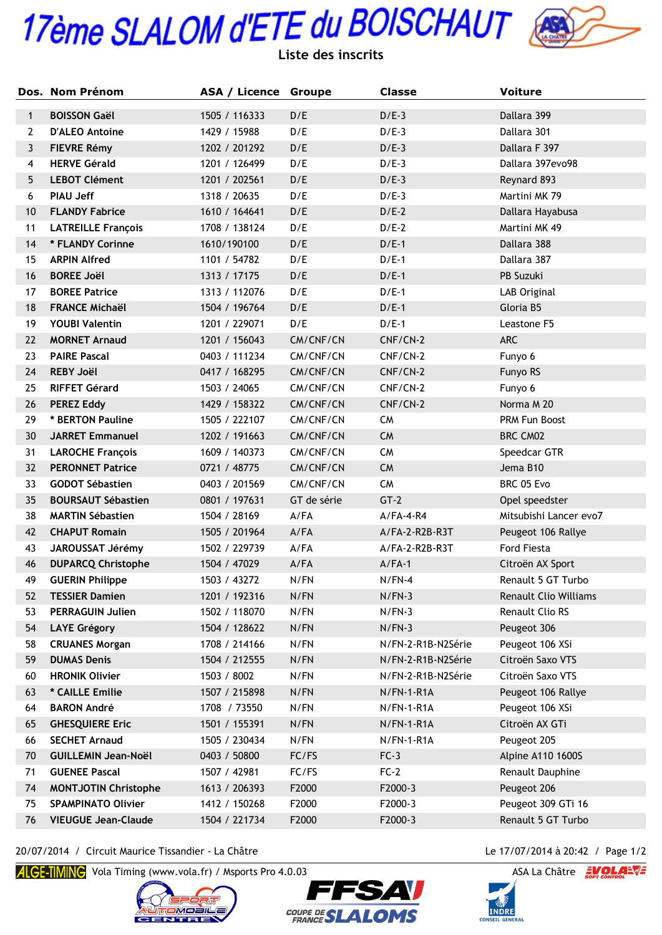## 17ème SLALOM d'ETE du BOISCHAUT



|              | Dos. Nom Prénom             | <b>ASA / Licence Groupe</b> |             | <b>Classe</b>      | <b>Voiture</b>         |
|--------------|-----------------------------|-----------------------------|-------------|--------------------|------------------------|
| $\mathbf{1}$ | <b>BOISSON Gaël</b>         | 1505 / 116333               | D/E         | $D/E-3$            | Dallara 399            |
| $\mathbf{2}$ | <b>D'ALEO Antoine</b>       | 1429 / 15988                | D/E         | $D/E-3$            | Dallara 301            |
| 3            | <b>FIEVRE Rémy</b>          | 1202 / 201292               | D/E         | $D/E-3$            | Dallara F 397          |
| 4            | <b>HERVE Gérald</b>         | 1201 / 126499               | D/E         | $D/E-3$            | Dallara 397evo98       |
| 5            | <b>LEBOT Clément</b>        | 1201 / 202561               | D/E         | $D/E-3$            | Reynard 893            |
| 6            | <b>PIAU Jeff</b>            | 1318 / 20635                | D/E         | $D/E-3$            | Martini MK 79          |
| 10           | <b>FLANDY Fabrice</b>       | 1610 / 164641               | D/E         | $D/E-2$            | Dallara Hayabusa       |
| 11           | <b>LATREILLE François</b>   | 1708 / 138124               | D/E         | $D/E-2$            | Martini MK 49          |
| 14           | * FLANDY Corinne            | 1610/190100                 | D/E         | $D/E-1$            | Dallara 388            |
| 15           | <b>ARPIN Alfred</b>         | 1101 / 54782                | D/E         | $D/E-1$            | Dallara 387            |
| 16           | <b>BOREE Joël</b>           | 1313 / 17175                | D/E         | $D/E-1$            | PB Suzuki              |
| 17           | <b>BOREE Patrice</b>        | 1313 / 112076               | D/E         | $D/E-1$            | LAB Original           |
| 18           | <b>FRANCE Michaël</b>       | 1504 / 196764               | D/E         | $D/E-1$            | Gloria B5              |
| 19           | <b>YOUBI Valentin</b>       | 1201 / 229071               | D/E         | $D/E-1$            | Leastone F5            |
| 22           | <b>MORNET Arnaud</b>        | 1201 / 156043               | CM/CNF/CN   | CNF/CN-2           | ARC                    |
| 23           | <b>PAIRE Pascal</b>         | 0403 / 111234               | CM/CNF/CN   | CNF/CN-2           | Funyo 6                |
| 24           | <b>REBY Joël</b>            | 0417 / 168295               | CM/CNF/CN   | CNF/CN-2           | Funyo RS               |
| 25           | <b>RIFFET Gérard</b>        | 1503 / 24065                | CM/CNF/CN   | CNF/CN-2           | Funyo 6                |
| 26           | <b>PEREZ Eddy</b>           | 1429 / 158322               | CM/CNF/CN   | CNF/CN-2           | Norma M 20             |
| 29           | * BERTON Pauline            | 1505 / 222107               | CM/CNF/CN   | <b>CM</b>          | PRM Fun Boost          |
| 30           | <b>JARRET Emmanuel</b>      | 1202 / 191663               | CM/CNF/CN   | <b>CM</b>          | BRC CM02               |
| 31           | <b>LAROCHE François</b>     | 1609 / 140373               | CM/CNF/CN   | <b>CM</b>          | Speedcar GTR           |
| 32           | <b>PERONNET Patrice</b>     | 0721 / 48775                | CM/CNF/CN   | <b>CM</b>          | Jema B10               |
| 33           | <b>GODOT Sébastien</b>      | 0403 / 201569               | CM/CNF/CN   | <b>CM</b>          | BRC 05 Evo             |
| 35           | <b>BOURSAUT Sébastien</b>   | 0801 / 197631               | GT de série | $GT-2$             | Opel speedster         |
| 38           | <b>MARTIN Sébastien</b>     | 1504 / 28169                | $A$ /FA     | $A/FA-4-R4$        | Mitsubishi Lancer evo7 |
| 42           | <b>CHAPUT Romain</b>        | 1505 / 201964               | $A$ /FA     | A/FA-2-R2B-R3T     | Peugeot 106 Rallye     |
| 43           | JAROUSSAT Jérémy            | 1502 / 229739               | A/FA        | A/FA-2-R2B-R3T     | <b>Ford Fiesta</b>     |
| 46           | <b>DUPARCQ Christophe</b>   | 1504 / 47029                | A/FA        | $A/FA-1$           | Citroën AX Sport       |
| 49           | <b>GUERIN Philippe</b>      | 1503 / 43272                | N/FN        | $N/FN-4$           | Renault 5 GT Turbo     |
| 52           | <b>TESSIER Damien</b>       | 1201 / 192316               | N/FN        | $N/FN-3$           | Renault Clio Williams  |
| 53           | <b>PERRAGUIN Julien</b>     | 1502 / 118070               | N/FN        | $N/FN-3$           | Renault Clio RS        |
| 54           | <b>LAYE Grégory</b>         | 1504 / 128622               | N/FN        | $N/FN-3$           | Peugeot 306            |
| 58           | <b>CRUANES Morgan</b>       | 1708 / 214166               | N/FN        | N/FN-2-R1B-N2Série | Peugeot 106 XSi        |
| 59           | <b>DUMAS Denis</b>          | 1504 / 212555               | N/FN        | N/FN-2-R1B-N2Série | Citroën Saxo VTS       |
| 60           | <b>HRONIK Olivier</b>       | 1503 / 8002                 | N/FN        | N/FN-2-R1B-N2Série | Citroën Saxo VTS       |
| 63           | * CAILLE Emilie             | 1507 / 215898               | N/FN        | $N/FN-1-R1A$       | Peugeot 106 Rallye     |
| 64           | <b>BARON André</b>          | 1708 / 73550                | N/FN        | $N/FN-1-R1A$       | Peugeot 106 XSi        |
| 65           | <b>GHESQUIERE Eric</b>      | 1501 / 155391               | N/FN        | $N/FN-1-R1A$       | Citroën AX GTi         |
| 66           | <b>SECHET Arnaud</b>        | 1505 / 230434               | N/FN        | $N/FN-1-R1A$       | Peugeot 205            |
| 70           | <b>GUILLEMIN Jean-Noël</b>  | 0403 / 50800                | FC/FS       | $FC-3$             | Alpine A110 1600S      |
| 71           | <b>GUENEE Pascal</b>        | 1507 / 42981                | FC/FS       | $FC-2$             | Renault Dauphine       |
| 74           | <b>MONTJOTIN Christophe</b> | 1613 / 206393               | F2000       | F2000-3            | Peugeot 206            |
| 75           | <b>SPAMPINATO Olivier</b>   | 1412 / 150268               | F2000       | F2000-3            | Peugeot 309 GTi 16     |
| 76           | <b>VIEUGUE Jean-Claude</b>  | 1504 / 221734               | F2000       | F2000-3            | Renault 5 GT Turbo     |

20/07/2014 / Circuit Maurice Tissandier - La Châtre Le 17/07/2014 à 20:42 / Page 1/2

ALCE-TIMINC Vola Timing (www.vola.fr) / Msports Pro 4.0.03 ASA La Châtre EVOLAEVE







**INDRE**